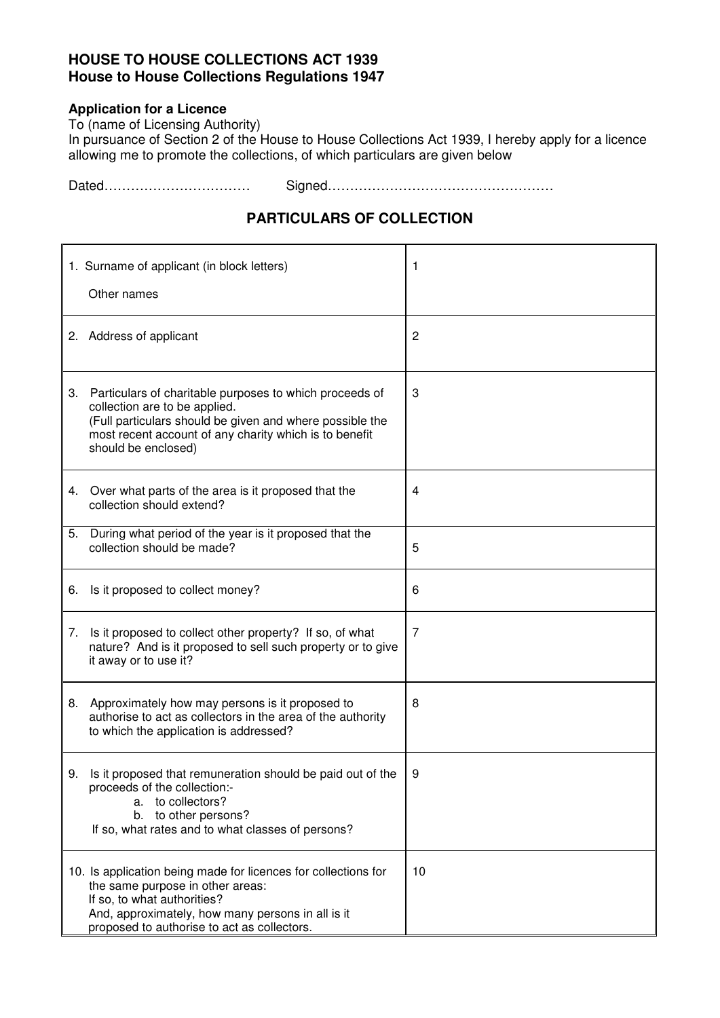## **HOUSE TO HOUSE COLLECTIONS ACT 1939 House to House Collections Regulations 1947**

## **Application for a Licence**

To (name of Licensing Authority)

In pursuance of Section 2 of the House to House Collections Act 1939, I hereby apply for a licence allowing me to promote the collections, of which particulars are given below

Dated…………………………… Signed……………………………………………

## **PARTICULARS OF COLLECTION**

|    | 1. Surname of applicant (in block letters)                                                                                                                                                                                            | 1              |
|----|---------------------------------------------------------------------------------------------------------------------------------------------------------------------------------------------------------------------------------------|----------------|
|    | Other names                                                                                                                                                                                                                           |                |
|    | 2. Address of applicant                                                                                                                                                                                                               | $\overline{2}$ |
| 3. | Particulars of charitable purposes to which proceeds of<br>collection are to be applied.<br>(Full particulars should be given and where possible the<br>most recent account of any charity which is to benefit<br>should be enclosed) | 3              |
|    | 4. Over what parts of the area is it proposed that the<br>collection should extend?                                                                                                                                                   | 4              |
| 5. | During what period of the year is it proposed that the<br>collection should be made?                                                                                                                                                  | 5              |
| 6. | Is it proposed to collect money?                                                                                                                                                                                                      | 6              |
| 7. | Is it proposed to collect other property? If so, of what<br>nature? And is it proposed to sell such property or to give<br>it away or to use it?                                                                                      | 7              |
| 8. | Approximately how may persons is it proposed to<br>authorise to act as collectors in the area of the authority<br>to which the application is addressed?                                                                              | 8              |
| 9. | Is it proposed that remuneration should be paid out of the<br>proceeds of the collection:-<br>a. to collectors?<br>b. to other persons?<br>If so, what rates and to what classes of persons?                                          | 9              |
|    | 10. Is application being made for licences for collections for<br>the same purpose in other areas:<br>If so, to what authorities?<br>And, approximately, how many persons in all is it<br>proposed to authorise to act as collectors. | 10             |